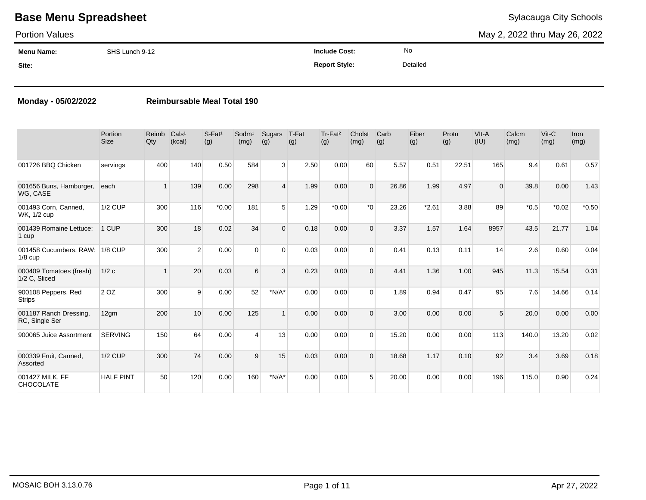### Portion Values

May 2, 2022 thru May 26, 2022

| <b>Menu Name:</b> | SHS Lunch 9-12 | <b>Include Cost:</b> | No       |
|-------------------|----------------|----------------------|----------|
| Site:             |                | <b>Report Style:</b> | Detailed |

### **Monday - 05/02/2022 Reimbursable Meal Total 190**

|                                          | Portion<br><b>Size</b> | Reimb<br>Qty | Cals <sup>1</sup><br>(kcal) | S-Fat <sup>1</sup><br>(g) | $S$ odm $1$<br>(mg) | Sugars<br>(g)  | T-Fat<br>(g) | Tr-Fat <sup>2</sup><br>(g) | Cholst<br>(mg) | Carb<br>(g) | Fiber<br>(g) | Protn<br>(g) | VIt-A<br>(IU) | Calcm<br>(mg) | Vit-C<br>(mg) | <b>Iron</b><br>(mg) |
|------------------------------------------|------------------------|--------------|-----------------------------|---------------------------|---------------------|----------------|--------------|----------------------------|----------------|-------------|--------------|--------------|---------------|---------------|---------------|---------------------|
| 001726 BBQ Chicken                       | servings               | 400          | 140                         | 0.50                      | 584                 | 3 <sup>1</sup> | 2.50         | 0.00                       | 60             | 5.57        | 0.51         | 22.51        | 165           | 9.4           | 0.61          | 0.57                |
| 001656 Buns, Hamburger,<br>WG, CASE      | each                   | 1            | 139                         | 0.00                      | 298                 | $\overline{4}$ | 1.99         | 0.00                       | $\Omega$       | 26.86       | 1.99         | 4.97         | $\Omega$      | 39.8          | 0.00          | 1.43                |
| 001493 Corn, Canned,<br>WK, 1/2 cup      | <b>1/2 CUP</b>         | 300          | 116                         | $*0.00$                   | 181                 | 5 <sup>1</sup> | 1.29         | $*0.00$                    | $*$ 0          | 23.26       | $*2.61$      | 3.88         | 89            | $*0.5$        | $*0.02$       | $*0.50$             |
| 001439 Romaine Lettuce:<br>1 cup         | 1 CUP                  | 300          | 18                          | 0.02                      | 34                  | $\Omega$       | 0.18         | 0.00                       | $\Omega$       | 3.37        | 1.57         | 1.64         | 8957          | 43.5          | 21.77         | 1.04                |
| 001458 Cucumbers, RAW:<br>$1/8$ cup      | $1/8$ CUP              | 300          | 2                           | 0.00                      | $\Omega$            | $\Omega$       | 0.03         | 0.00                       | $\Omega$       | 0.41        | 0.13         | 0.11         | 14            | 2.6           | 0.60          | 0.04                |
| 000409 Tomatoes (fresh)<br>1/2 C, Sliced | 1/2c                   |              | 20                          | 0.03                      | 6                   | 3              | 0.23         | 0.00                       | $\Omega$       | 4.41        | 1.36         | 1.00         | 945           | 11.3          | 15.54         | 0.31                |
| 900108 Peppers, Red<br>Strips            | 2 OZ                   | 300          | 9                           | 0.00                      | 52                  | $*N/A*$        | 0.00         | 0.00                       | $\Omega$       | 1.89        | 0.94         | 0.47         | 95            | 7.6           | 14.66         | 0.14                |
| 001187 Ranch Dressing,<br>RC, Single Ser | 12gm                   | 200          | 10                          | 0.00                      | 125                 | $\mathbf{1}$   | 0.00         | 0.00                       | $\Omega$       | 3.00        | 0.00         | 0.00         | 5             | 20.0          | 0.00          | 0.00                |
| 900065 Juice Assortment                  | <b>SERVING</b>         | 150          | 64                          | 0.00                      | $\overline{4}$      | 13             | 0.00         | 0.00                       | $\Omega$       | 15.20       | 0.00         | 0.00         | 113           | 140.0         | 13.20         | 0.02                |
| 000339 Fruit, Canned,<br>Assorted        | <b>1/2 CUP</b>         | 300          | 74                          | 0.00                      | 9                   | 15             | 0.03         | 0.00                       | $\Omega$       | 18.68       | 1.17         | 0.10         | 92            | 3.4           | 3.69          | 0.18                |
| 001427 MILK, FF<br><b>CHOCOLATE</b>      | <b>HALF PINT</b>       | 50           | 120                         | 0.00                      | 160                 | $*N/A*$        | 0.00         | 0.00                       | 5              | 20.00       | 0.00         | 8.00         | 196           | 115.0         | 0.90          | 0.24                |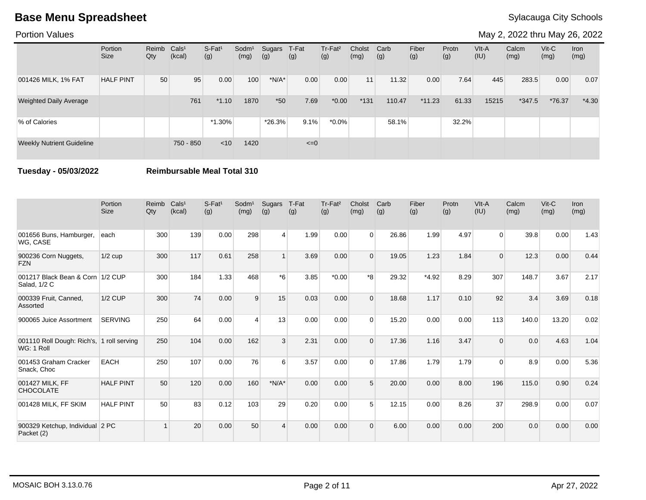Portion Values

May 2, 2022 thru May 26, 2022

|                                  | Portion<br><b>Size</b> | Reimb<br>Qty | Cals <sup>1</sup><br>(kcal) | $S-Fat1$<br>(g) | Sodm <sup>1</sup><br>(mg) | Sugars<br>(g) | T-Fat<br>(g) | Tr-Fat <sup>2</sup><br>(g) | Cholst<br>(mg) | Carb<br>(g) | Fiber<br>(g) | Protn<br>(g) | VIt-A<br>(IU) | Calcm<br>(mg) | $V$ it-C<br>(mg) | Iron<br>(mg) |
|----------------------------------|------------------------|--------------|-----------------------------|-----------------|---------------------------|---------------|--------------|----------------------------|----------------|-------------|--------------|--------------|---------------|---------------|------------------|--------------|
| 001426 MILK, 1% FAT              | <b>HALF PINT</b>       | 50           | 95                          | 0.00            | 100                       | $*N/A*$       | 0.00         | 0.00                       | 11             | 11.32       | 0.00         | 7.64         | 445           | 283.5         | 0.00             | 0.07         |
| <b>Weighted Daily Average</b>    |                        |              | 761                         | $*1.10$         | 1870                      | $*50$         | 7.69         | $*0.00$                    | $*131$         | 110.47      | $*11.23$     | 61.33        | 15215         | $*347.5$      | *76.37           | $*4.30$      |
| % of Calories                    |                        |              |                             | $*1.30\%$       |                           | $*26.3%$      | 9.1%         | $*0.0\%$                   |                | 58.1%       |              | 32.2%        |               |               |                  |              |
| <b>Weekly Nutrient Guideline</b> |                        |              | 750 - 850                   | $<$ 10          | 1420                      |               | $\leq=0$     |                            |                |             |              |              |               |               |                  |              |

**Tuesday - 05/03/2022 Reimbursable Meal Total 310**

|                                                         | Portion<br><b>Size</b> | Reimb<br>Qty | Cals <sup>1</sup><br>(kcal) | $S-Fat1$<br>(g) | Sodm <sup>1</sup><br>(mg) | Sugars<br>(g)  | T-Fat<br>(g) | Tr-Fat <sup>2</sup><br>(g) | Cholst<br>(mg) | Carb<br>(g) | Fiber<br>(g) | Protn<br>(g) | VIt-A<br>(IU) | Calcm<br>(mg) | $Vit-C$<br>(mg) | <b>Iron</b><br>(mg) |
|---------------------------------------------------------|------------------------|--------------|-----------------------------|-----------------|---------------------------|----------------|--------------|----------------------------|----------------|-------------|--------------|--------------|---------------|---------------|-----------------|---------------------|
| 001656 Buns, Hamburger,<br>WG, CASE                     | each                   | 300          | 139                         | 0.00            | 298                       | $\vert$        | 1.99         | 0.00                       | $\Omega$       | 26.86       | 1.99         | 4.97         | $\Omega$      | 39.8          | 0.00            | 1.43                |
| 900236 Corn Nuggets,<br><b>FZN</b>                      | $1/2$ cup              | 300          | 117                         | 0.61            | 258                       |                | 3.69         | 0.00                       | $\Omega$       | 19.05       | 1.23         | 1.84         | $\Omega$      | 12.3          | 0.00            | 0.44                |
| 001217 Black Bean & Corn 1/2 CUP<br>Salad, 1/2 C        |                        | 300          | 184                         | 1.33            | 468                       | $*_{6}$        | 3.85         | $*0.00$                    | $*8$           | 29.32       | $*4.92$      | 8.29         | 307           | 148.7         | 3.67            | 2.17                |
| 000339 Fruit, Canned,<br>Assorted                       | $1/2$ CUP              | 300          | 74                          | 0.00            | 9                         | 15             | 0.03         | 0.00                       | $\Omega$       | 18.68       | 1.17         | 0.10         | 92            | 3.4           | 3.69            | 0.18                |
| 900065 Juice Assortment                                 | <b>SERVING</b>         | 250          | 64                          | 0.00            | $\Delta$                  | 13             | 0.00         | 0.00                       | $\Omega$       | 15.20       | 0.00         | 0.00         | 113           | 140.0         | 13.20           | 0.02                |
| 001110 Roll Dough: Rich's, 1 roll serving<br>WG: 1 Roll |                        | 250          | 104                         | 0.00            | 162                       | 3              | 2.31         | 0.00                       | $\Omega$       | 17.36       | 1.16         | 3.47         | $\Omega$      | 0.0           | 4.63            | 1.04                |
| 001453 Graham Cracker<br>Snack, Choc                    | <b>EACH</b>            | 250          | 107                         | 0.00            | 76                        | 6              | 3.57         | 0.00                       | $\Omega$       | 17.86       | 1.79         | 1.79         | 0             | 8.9           | 0.00            | 5.36                |
| 001427 MILK, FF<br><b>CHOCOLATE</b>                     | <b>HALF PINT</b>       | 50           | 120                         | 0.00            | 160                       | $*N/A*$        | 0.00         | 0.00                       | 5              | 20.00       | 0.00         | 8.00         | 196           | 115.0         | 0.90            | 0.24                |
| 001428 MILK, FF SKIM                                    | <b>HALF PINT</b>       | 50           | 83                          | 0.12            | 103                       | 29             | 0.20         | 0.00                       | 5              | 12.15       | 0.00         | 8.26         | 37            | 298.9         | 0.00            | 0.07                |
| 900329 Ketchup, Individual 2 PC<br>Packet (2)           |                        |              | 20                          | 0.00            | 50                        | $\overline{4}$ | 0.00         | 0.00                       | $\Omega$       | 6.00        | 0.00         | 0.00         | 200           | 0.0           | 0.00            | 0.00                |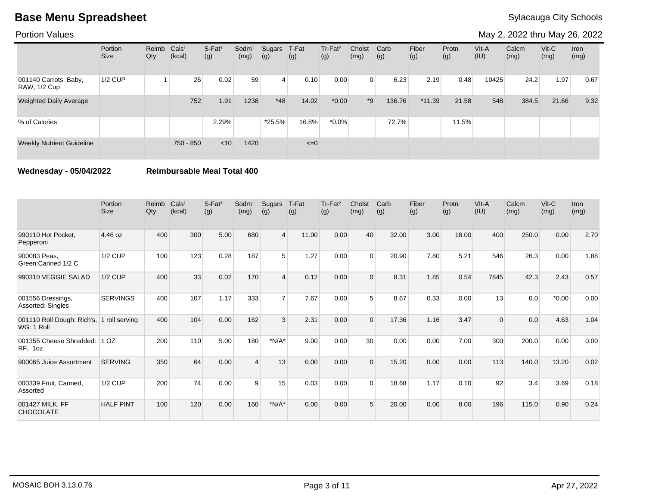Portion Values

May 2, 2022 thru May 26, 2022

|                                       | Portion<br><b>Size</b> | Reimb Cals <sup>1</sup><br>Qty | (kcal)    | $S-Fat1$<br>(g) | Sodm <sup>1</sup><br>(mg) | Sugars<br>(g) | T-Fat<br>(g) | Tr-Fat <sup>2</sup><br>(g) | Cholst<br>(mg) | Carb<br>(g) | Fiber<br>(g) | Protn<br>(g) | VIt-A<br>(IU) | Calcm<br>(mg) | $V$ it-C<br>(mg) | Iron<br>(mg) |
|---------------------------------------|------------------------|--------------------------------|-----------|-----------------|---------------------------|---------------|--------------|----------------------------|----------------|-------------|--------------|--------------|---------------|---------------|------------------|--------------|
| 001140 Carrots, Baby,<br>RAW, 1/2 Cup | 1/2 CUP                |                                | 26        | 0.02            | 59                        | 4             | 0.10         | 0.00                       | $\Omega$       | 6.23        | 2.19         | 0.48         | 10425         | 24.2          | 1.97             | 0.67         |
| <b>Weighted Daily Average</b>         |                        |                                | 752       | 1.91            | 1238                      | $*48$         | 14.02        | $*0.00*$                   | $*9$           | 136.76      | $*11.39$     | 21.58        | 548           | 384.5         | 21.66            | 9.32         |
| % of Calories                         |                        |                                |           | 2.29%           |                           | *25.5%        | 16.8%        | $*0.0\%$                   |                | 72.7%       |              | 11.5%        |               |               |                  |              |
| <b>Weekly Nutrient Guideline</b>      |                        |                                | 750 - 850 | $<$ 10          | 1420                      |               | $\leq=0$     |                            |                |             |              |              |               |               |                  |              |

**Wednesday - 05/04/2022 Reimbursable Meal Total 400**

|                                                         | Portion<br><b>Size</b> | Reimb<br>Qty | Cals <sup>1</sup><br>(kcal) | S-Fat <sup>1</sup><br>(g) | Sodm <sup>1</sup><br>(mg) | Sugars<br>(g)  | T-Fat<br>(g) | Tr-Fat <sup>2</sup><br>(g) | Cholst<br>(mg) | Carb<br>(g) | Fiber<br>(g) | Protn<br>(g) | VIt-A<br>(IU) | Calcm<br>(mg) | $V$ it- $C$<br>(mg) | <b>Iron</b><br>(mg) |
|---------------------------------------------------------|------------------------|--------------|-----------------------------|---------------------------|---------------------------|----------------|--------------|----------------------------|----------------|-------------|--------------|--------------|---------------|---------------|---------------------|---------------------|
| 990110 Hot Pocket,<br>Pepperoni                         | 4.46 oz                | 400          | 300                         | 5.00                      | 680                       | $\overline{4}$ | 11.00        | 0.00                       | 40             | 32.00       | 3.00         | 18.00        | 400           | 250.0         | 0.00                | 2.70                |
| 900083 Peas,<br>Green:Canned 1/2 C                      | <b>1/2 CUP</b>         | 100          | 123                         | 0.28                      | 187                       | 5              | 1.27         | 0.00                       | $\Omega$       | 20.90       | 7.80         | 5.21         | 546           | 26.3          | 0.00                | 1.88                |
| 990310 VEGGIE SALAD                                     | <b>1/2 CUP</b>         | 400          | 33                          | 0.02                      | 170                       | $\overline{4}$ | 0.12         | 0.00                       | $\Omega$       | 8.31        | 1.85         | 0.54         | 7845          | 42.3          | 2.43                | 0.57                |
| 001556 Dressings,<br>Assorted: Singles                  | <b>SERVINGS</b>        | 400          | 107                         | 1.17                      | 333                       | $\overline{7}$ | 7.67         | 0.00                       | $5^{\circ}$    | 8.67        | 0.33         | 0.00         | 13            | 0.0           | $*0.00$             | 0.00                |
| 001110 Roll Dough: Rich's, 1 roll serving<br>WG: 1 Roll |                        | 400          | 104                         | 0.00                      | 162                       | 3              | 2.31         | 0.00                       | $\Omega$       | 17.36       | 1.16         | 3.47         | 0             | 0.0           | 4.63                | 1.04                |
| 001355 Cheese Shredded:<br>RF, 1oz                      | 10Z                    | 200          | 110                         | 5.00                      | 180                       | $*N/A*$        | 9.00         | 0.00                       | 30             | 0.00        | 0.00         | 7.00         | 300           | 200.0         | 0.00                | 0.00                |
| 900065 Juice Assortment                                 | <b>SERVING</b>         | 350          | 64                          | 0.00                      | $\Delta$                  | 13             | 0.00         | 0.00                       | $\Omega$       | 15.20       | 0.00         | 0.00         | 113           | 140.0         | 13.20               | 0.02                |
| 000339 Fruit, Canned,<br>Assorted                       | <b>1/2 CUP</b>         | 200          | 74                          | 0.00                      | 9                         | 15             | 0.03         | 0.00                       | $\Omega$       | 18.68       | 1.17         | 0.10         | 92            | 3.4           | 3.69                | 0.18                |
| 001427 MILK, FF<br><b>CHOCOLATE</b>                     | <b>HALF PINT</b>       | 100          | 120                         | 0.00                      | 160                       | $*N/A*$        | 0.00         | 0.00                       | 5              | 20.00       | 0.00         | 8.00         | 196           | 115.0         | 0.90                | 0.24                |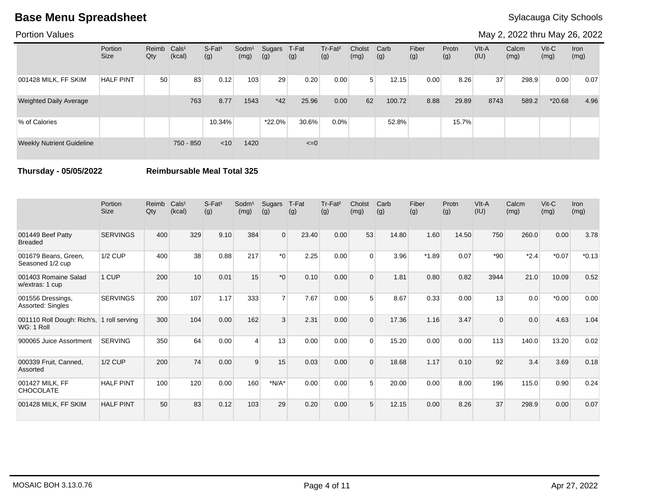Portion Values

May 2, 2022 thru May 26, 2022

|                                  | Portion<br><b>Size</b> | Reimb<br>Qty | Cals <sup>1</sup><br>(kcal) | $S-Fat1$<br>(g) | Sodm <sup>1</sup><br>(mg) | Sugars<br>(g) | T-Fat<br>(g) | Tr-Fat <sup>2</sup><br>(g) | Cholst<br>(mg) | Carb<br>(g) | Fiber<br>(g) | Protn<br>(g) | VIt-A<br>(IU) | Calcm<br>(mg) | $V$ it-C<br>(mg) | Iron<br>(mg) |
|----------------------------------|------------------------|--------------|-----------------------------|-----------------|---------------------------|---------------|--------------|----------------------------|----------------|-------------|--------------|--------------|---------------|---------------|------------------|--------------|
| 001428 MILK, FF SKIM             | <b>HALF PINT</b>       | 50           | 83                          | 0.12            | 103                       | 29            | 0.20         | 0.00                       | 5 <sup>1</sup> | 12.15       | 0.00         | 8.26         | 37            | 298.9         | 0.00             | 0.07         |
| <b>Weighted Daily Average</b>    |                        |              | 763                         | 8.77            | 1543                      | $*42$         | 25.96        | 0.00                       | 62             | 100.72      | 8.88         | 29.89        | 8743          | 589.2         | $*20.68$         | 4.96         |
| % of Calories                    |                        |              |                             | 10.34%          |                           | $*22.0\%$     | 30.6%        | 0.0%                       |                | 52.8%       |              | 15.7%        |               |               |                  |              |
| <b>Weekly Nutrient Guideline</b> |                        |              | 750 - 850                   | $<$ 10          | 1420                      |               | $\leq=0$     |                            |                |             |              |              |               |               |                  |              |

**Thursday - 05/05/2022 Reimbursable Meal Total 325**

|                                                         | Portion<br><b>Size</b> | Reimb<br>Qty | Cals <sup>1</sup><br>(kcal) | S-Fat <sup>1</sup><br>(g) | Sodm <sup>1</sup><br>(mg) | Sugars<br>(g)    | T-Fat<br>(g) | Tr-Fat <sup>2</sup><br>(g) | Cholst<br>(mg) | Carb<br>(g) | Fiber<br>(g) | Protn<br>(g) | VIt-A<br>(IU) | Calcm<br>(mg) | $V$ it-C<br>(mg) | <b>Iron</b><br>(mg) |
|---------------------------------------------------------|------------------------|--------------|-----------------------------|---------------------------|---------------------------|------------------|--------------|----------------------------|----------------|-------------|--------------|--------------|---------------|---------------|------------------|---------------------|
| 001449 Beef Patty<br><b>Breaded</b>                     | <b>SERVINGS</b>        | 400          | 329                         | 9.10                      | 384                       | $\overline{0}$   | 23.40        | 0.00                       | 53             | 14.80       | 1.60         | 14.50        | 750           | 260.0         | 0.00             | 3.78                |
| 001679 Beans, Green,<br>Seasoned 1/2 cup                | <b>1/2 CUP</b>         | 400          | 38                          | 0.88                      | 217                       | $*$ $\cap$       | 2.25         | 0.00                       | $\Omega$       | 3.96        | $*1.89$      | 0.07         | $*90$         | $*2.4$        | $*0.07$          | $*0.13$             |
| 001403 Romaine Salad<br>w/extras: 1 cup                 | 1 CUP                  | 200          | 10                          | 0.01                      | 15                        | $*$ <sup>0</sup> | 0.10         | 0.00                       | $\Omega$       | 1.81        | 0.80         | 0.82         | 3944          | 21.0          | 10.09            | 0.52                |
| 001556 Dressings,<br>Assorted: Singles                  | <b>SERVINGS</b>        | 200          | 107                         | 1.17                      | 333                       | $\overline{7}$   | 7.67         | 0.00                       | $5^{\circ}$    | 8.67        | 0.33         | 0.00         | 13            | 0.0           | $*0.00$          | 0.00                |
| 001110 Roll Dough: Rich's, 1 roll serving<br>WG: 1 Roll |                        | 300          | 104                         | 0.00                      | 162                       | 3                | 2.31         | 0.00                       | $\Omega$       | 17.36       | 1.16         | 3.47         | $\Omega$      | 0.0           | 4.63             | 1.04                |
| 900065 Juice Assortment                                 | <b>SERVING</b>         | 350          | 64                          | 0.00                      |                           | 13               | 0.00         | 0.00                       | $\Omega$       | 15.20       | 0.00         | 0.00         | 113           | 140.0         | 13.20            | 0.02                |
| 000339 Fruit, Canned,<br>Assorted                       | <b>1/2 CUP</b>         | 200          | 74                          | 0.00                      | 9                         | 15               | 0.03         | 0.00                       | $\Omega$       | 18.68       | 1.17         | 0.10         | 92            | 3.4           | 3.69             | 0.18                |
| 001427 MILK, FF<br><b>CHOCOLATE</b>                     | <b>HALF PINT</b>       | 100          | 120                         | 0.00                      | 160                       | $*N/A*$          | 0.00         | 0.00                       | 5              | 20.00       | 0.00         | 8.00         | 196           | 115.0         | 0.90             | 0.24                |
| 001428 MILK, FF SKIM                                    | <b>HALF PINT</b>       | 50           | 83                          | 0.12                      | 103                       | 29               | 0.20         | 0.00                       | 5              | 12.15       | 0.00         | 8.26         | 37            | 298.9         | 0.00             | 0.07                |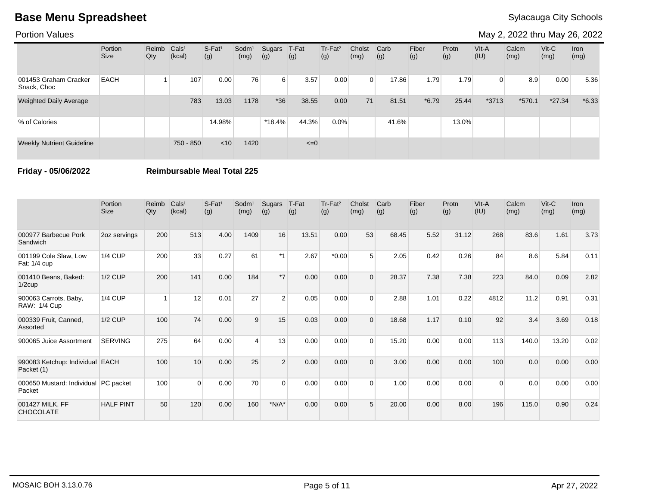Portion Values

May 2, 2022 thru May 26, 2022

|                                      | Portion<br>Size | Reimb<br>Qty | Cals <sup>1</sup><br>(kcal) | S-Fat <sup>1</sup><br>(g) | Sodm <sup>1</sup><br>(mg) | Sugars<br>(g)  | T-Fat<br>(g) | Tr-Fat <sup>2</sup><br>(g) | Cholst<br>(mg) | Carb<br>(g) | Fiber<br>(g) | Protn<br>(g) | VIt-A<br>(IU) | Calcm<br>(mg) | $V$ it-C<br>(mg) | Iron<br>(mg) |
|--------------------------------------|-----------------|--------------|-----------------------------|---------------------------|---------------------------|----------------|--------------|----------------------------|----------------|-------------|--------------|--------------|---------------|---------------|------------------|--------------|
| 001453 Graham Cracker<br>Snack, Choc | <b>EACH</b>     |              | 107                         | 0.00                      | 76                        | 6 <sup>1</sup> | 3.57         | 0.00                       | $\Omega$       | 17.86       | 1.79         | 1.79         | 0             | 8.9           | 0.00             | 5.36         |
| <b>Weighted Daily Average</b>        |                 |              | 783                         | 13.03                     | 1178                      | $*36$          | 38.55        | 0.00                       | 71             | 81.51       | $*6.79$      | 25.44        | $*3713$       | $*570.1$      | $*27.34$         | $*6.33$      |
| % of Calories                        |                 |              |                             | 14.98%                    |                           | $*18.4%$       | 44.3%        | 0.0%                       |                | 41.6%       |              | 13.0%        |               |               |                  |              |
| <b>Weekly Nutrient Guideline</b>     |                 |              | 750 - 850                   | $<$ 10                    | 1420                      |                | $\leq=0$     |                            |                |             |              |              |               |               |                  |              |

**Friday - 05/06/2022 Reimbursable Meal Total 225**

|                                                | Portion<br><b>Size</b> | Reimb<br>Qty | Cals <sup>1</sup><br>(kcal) | $S-Fat1$<br>(g) | Sodm <sup>1</sup><br>(mg) | Sugars<br>(g) | T-Fat<br>(g) | Tr-Fat <sup>2</sup><br>(g) | Cholst<br>(mg) | Carb<br>(g) | Fiber<br>(g) | Protn<br>(g) | VIt-A<br>(IU) | Calcm<br>(mg) | $V$ it-C<br>(mg) | <b>Iron</b><br>(mg) |
|------------------------------------------------|------------------------|--------------|-----------------------------|-----------------|---------------------------|---------------|--------------|----------------------------|----------------|-------------|--------------|--------------|---------------|---------------|------------------|---------------------|
| 000977 Barbecue Pork<br>Sandwich               | 2oz servings           | 200          | 513                         | 4.00            | 1409                      | 16            | 13.51        | 0.00                       | 53             | 68.45       | 5.52         | 31.12        | 268           | 83.6          | 1.61             | 3.73                |
| 001199 Cole Slaw, Low<br>Fat: 1/4 cup          | <b>1/4 CUP</b>         | 200          | 33                          | 0.27            | 61                        | $*1$          | 2.67         | $*0.00*$                   | 5              | 2.05        | 0.42         | 0.26         | 84            | 8.6           | 5.84             | 0.11                |
| 001410 Beans, Baked:<br>$1/2$ cup              | <b>1/2 CUP</b>         | 200          | 141                         | 0.00            | 184                       | $*7$          | 0.00         | 0.00                       | $\Omega$       | 28.37       | 7.38         | 7.38         | 223           | 84.0          | 0.09             | 2.82                |
| 900063 Carrots, Baby,<br>RAW: 1/4 Cup          | <b>1/4 CUP</b>         |              | 12                          | 0.01            | 27                        | 2             | 0.05         | 0.00                       | $\Omega$       | 2.88        | 1.01         | 0.22         | 4812          | 11.2          | 0.91             | 0.31                |
| 000339 Fruit, Canned,<br>Assorted              | <b>1/2 CUP</b>         | 100          | 74                          | 0.00            | 9                         | 15            | 0.03         | 0.00                       | $\Omega$       | 18.68       | 1.17         | 0.10         | 92            | 3.4           | 3.69             | 0.18                |
| 900065 Juice Assortment                        | <b>SERVING</b>         | 275          | 64                          | 0.00            |                           | 13            | 0.00         | 0.00                       | $\Omega$       | 15.20       | 0.00         | 0.00         | 113           | 140.0         | 13.20            | 0.02                |
| 990083 Ketchup: Individual EACH<br>Packet (1)  |                        | 100          | 10                          | 0.00            | 25                        | 2             | 0.00         | 0.00                       | $\Omega$       | 3.00        | 0.00         | 0.00         | 100           | 0.0           | 0.00             | 0.00                |
| 000650 Mustard: Individual PC packet<br>Packet |                        | 100          | $\Omega$                    | 0.00            | 70                        | $\Omega$      | 0.00         | 0.00                       | $\Omega$       | 1.00        | 0.00         | 0.00         | 0             | 0.0           | 0.00             | 0.00                |
| 001427 MILK, FF<br><b>CHOCOLATE</b>            | <b>HALF PINT</b>       | 50           | 120                         | 0.00            | 160                       | $*N/A*$       | 0.00         | 0.00                       | 5              | 20.00       | 0.00         | 8.00         | 196           | 115.0         | 0.90             | 0.24                |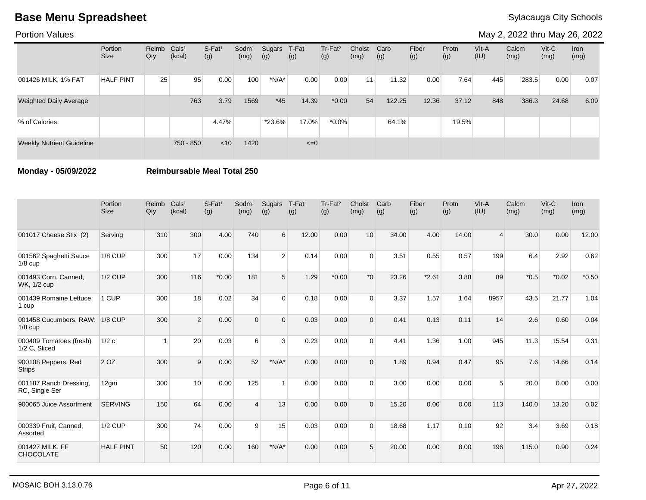Portion Values

May 2, 2022 thru May 26, 2022

|                                  | Portion<br><b>Size</b> | Reimb Cals <sup>1</sup><br>Qty | (kcal)          | $S-Fat1$<br>(g) | Sodm <sup>1</sup><br>(mg) | Sugars<br>(g) | T-Fat<br>(g) | Tr-Fat <sup>2</sup><br>(g) | Cholst<br>(mg)  | Carb<br>(g) | Fiber<br>(g) | Protn<br>(g) | $V$ lt-A<br>(IU) | Calcm<br>(mg) | $V$ it-C<br>(mg) | Iron<br>(mg) |
|----------------------------------|------------------------|--------------------------------|-----------------|-----------------|---------------------------|---------------|--------------|----------------------------|-----------------|-------------|--------------|--------------|------------------|---------------|------------------|--------------|
| 001426 MILK, 1% FAT              | <b>HALF PINT</b>       | 25                             | 95 <sub>1</sub> | 0.00            | 100                       | $*N/A*$       | 0.00         | 0.00                       | 11 <sub>1</sub> | 11.32       | 0.00         | 7.64         | 445              | 283.5         | 0.00             | 0.07         |
| <b>Weighted Daily Average</b>    |                        |                                | 763             | 3.79            | 1569                      | $*45$         | 14.39        | $*0.00$                    | 54              | 122.25      | 12.36        | 37.12        | 848              | 386.3         | 24.68            | 6.09         |
| % of Calories                    |                        |                                |                 | 4.47%           |                           | $*23.6\%$     | 17.0%        | $*0.0\%$                   |                 | 64.1%       |              | 19.5%        |                  |               |                  |              |
| <b>Weekly Nutrient Guideline</b> |                        |                                | 750 - 850       | < 10            | 1420                      |               | $\leq=0$     |                            |                 |             |              |              |                  |               |                  |              |

**Monday - 05/09/2022 Reimbursable Meal Total 250**

|                                          | Portion<br><b>Size</b> | Reimb<br>Qty | Cals <sup>1</sup><br>(kcal) | $S-Fat1$<br>(g) | Sodm <sup>1</sup><br>(mg) | Sugars<br>(g) | T-Fat<br>(g) | Tr-Fat <sup>2</sup><br>(g) | Cholst<br>(mg) | Carb<br>(g) | Fiber<br>(g) | Protn<br>(g) | VIt-A<br>(IU) | Calcm<br>(mg) | $Vit-C$<br>(mg) | <b>Iron</b><br>(mg) |
|------------------------------------------|------------------------|--------------|-----------------------------|-----------------|---------------------------|---------------|--------------|----------------------------|----------------|-------------|--------------|--------------|---------------|---------------|-----------------|---------------------|
| 001017 Cheese Stix (2)                   | Serving                | 310          | 300                         | 4.00            | 740                       | 6             | 12.00        | 0.00                       | 10             | 34.00       | 4.00         | 14.00        | 4             | 30.0          | 0.00            | 12.00               |
| 001562 Spaghetti Sauce<br>$1/8$ cup      | <b>1/8 CUP</b>         | 300          | 17                          | 0.00            | 134                       | 2             | 0.14         | 0.00                       | $\Omega$       | 3.51        | 0.55         | 0.57         | 199           | 6.4           | 2.92            | 0.62                |
| 001493 Corn, Canned,<br>WK, 1/2 cup      | $1/2$ CUP              | 300          | 116                         | $*0.00$         | 181                       | 5             | 1.29         | $*0.00$                    | $*$ $\Omega$   | 23.26       | $*2.61$      | 3.88         | 89            | $*0.5$        | $*0.02$         | $*0.50$             |
| 001439 Romaine Lettuce:<br>1 cup         | 1 CUP                  | 300          | 18                          | 0.02            | 34                        | $\Omega$      | 0.18         | 0.00                       | $\Omega$       | 3.37        | 1.57         | 1.64         | 8957          | 43.5          | 21.77           | 1.04                |
| 001458 Cucumbers, RAW:<br>$1/8$ cup      | 1/8 CUP                | 300          | 2                           | 0.00            | $\Omega$                  | $\Omega$      | 0.03         | 0.00                       | $\Omega$       | 0.41        | 0.13         | 0.11         | 14            | 2.6           | 0.60            | 0.04                |
| 000409 Tomatoes (fresh)<br>1/2 C. Sliced | 1/2c                   |              | 20                          | 0.03            | 6                         | 3             | 0.23         | 0.00                       | $\Omega$       | 4.41        | 1.36         | 1.00         | 945           | 11.3          | 15.54           | 0.31                |
| 900108 Peppers, Red<br><b>Strips</b>     | 2 <sub>OZ</sub>        | 300          | 9                           | 0.00            | 52                        | $*N/A*$       | 0.00         | 0.00                       | $\Omega$       | 1.89        | 0.94         | 0.47         | 95            | 7.6           | 14.66           | 0.14                |
| 001187 Ranch Dressing,<br>RC, Single Ser | 12gm                   | 300          | 10                          | 0.00            | 125                       |               | 0.00         | 0.00                       | $\Omega$       | 3.00        | 0.00         | 0.00         | 5             | 20.0          | 0.00            | 0.00                |
| 900065 Juice Assortment                  | <b>SERVING</b>         | 150          | 64                          | 0.00            | $\Delta$                  | 13            | 0.00         | 0.00                       | $\Omega$       | 15.20       | 0.00         | 0.00         | 113           | 140.0         | 13.20           | 0.02                |
| 000339 Fruit, Canned,<br>Assorted        | 1/2 CUP                | 300          | 74                          | 0.00            | 9                         | 15            | 0.03         | 0.00                       | $\Omega$       | 18.68       | 1.17         | 0.10         | 92            | 3.4           | 3.69            | 0.18                |
| 001427 MILK, FF<br><b>CHOCOLATE</b>      | <b>HALF PINT</b>       | 50           | 120                         | 0.00            | 160                       | $*N/A*$       | 0.00         | 0.00                       | 5              | 20.00       | 0.00         | 8.00         | 196           | 115.0         | 0.90            | 0.24                |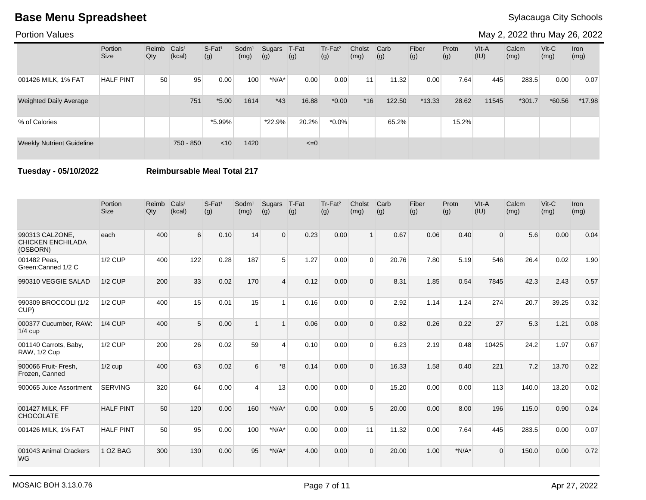Portion Values

May 2, 2022 thru May 26, 2022

|                                  | Portion<br><b>Size</b> | Reimb<br>Qty | Cals <sup>1</sup><br>(kcal) | $S-Fat1$<br>(g) | Sodm <sup>1</sup><br>(mg) | Sugars<br>(g) | T-Fat<br>(g) | Tr-Fat <sup>2</sup><br>(g) | Cholst<br>(mg) | Carb<br>(g) | Fiber<br>(g) | Protn<br>(g) | VIt-A<br>(IU) | Calcm<br>(mg) | $V$ it-C<br>(mg) | Iron<br>(mg) |
|----------------------------------|------------------------|--------------|-----------------------------|-----------------|---------------------------|---------------|--------------|----------------------------|----------------|-------------|--------------|--------------|---------------|---------------|------------------|--------------|
| 001426 MILK, 1% FAT              | <b>HALF PINT</b>       | 50           | 95                          | 0.00            | 100                       | $*N/A*$       | 0.00         | 0.00                       | 11             | 11.32       | 0.00         | 7.64         | 445           | 283.5         | 0.00             | 0.07         |
| <b>Weighted Daily Average</b>    |                        |              | 751                         | $*5.00$         | 1614                      | $*43$         | 16.88        | $*0.00$                    | $*16$          | 122.50      | $*13.33$     | 28.62        | 11545         | $*301.7$      | $*60.56$         | $*17.98$     |
| % of Calories                    |                        |              |                             | $*5.99\%$       |                           | $*22.9%$      | 20.2%        | $*0.0\%$                   |                | 65.2%       |              | 15.2%        |               |               |                  |              |
| <b>Weekly Nutrient Guideline</b> |                        |              | 750 - 850                   | $<$ 10          | 1420                      |               | $\leq=0$     |                            |                |             |              |              |               |               |                  |              |

**Tuesday - 05/10/2022 Reimbursable Meal Total 217**

|                                                         | Portion<br><b>Size</b> | Reimb<br>$Q$ ty | Cals <sup>1</sup><br>(kcal) | $S-Fat1$<br>(g) | Sodm <sup>1</sup><br>(mg) | Sugars<br>(g)           | T-Fat<br>(g) | Tr-Fat <sup>2</sup><br>(g) | Cholst<br>(mg) | Carb<br>(g) | Fiber<br>(g) | Protn<br>(g) | VIt-A<br>(IU) | Calcm<br>(mg) | Vit-C<br>(mg) | Iron<br>(mg) |
|---------------------------------------------------------|------------------------|-----------------|-----------------------------|-----------------|---------------------------|-------------------------|--------------|----------------------------|----------------|-------------|--------------|--------------|---------------|---------------|---------------|--------------|
| 990313 CALZONE.<br><b>CHICKEN ENCHILADA</b><br>(OSBORN) | each                   | 400             | 6                           | 0.10            | 14                        | $\Omega$                | 0.23         | 0.00                       |                | 0.67        | 0.06         | 0.40         | $\Omega$      | 5.6           | 0.00          | 0.04         |
| 001482 Peas,<br>Green:Canned 1/2 C                      | <b>1/2 CUP</b>         | 400             | 122                         | 0.28            | 187                       | 5                       | 1.27         | 0.00                       | $\Omega$       | 20.76       | 7.80         | 5.19         | 546           | 26.4          | 0.02          | 1.90         |
| 990310 VEGGIE SALAD                                     | $1/2$ CUP              | 200             | 33                          | 0.02            | 170                       | $\overline{\mathbf{A}}$ | 0.12         | 0.00                       | $\Omega$       | 8.31        | 1.85         | 0.54         | 7845          | 42.3          | 2.43          | 0.57         |
| 990309 BROCCOLI (1/2<br>CUP)                            | <b>1/2 CUP</b>         | 400             | 15                          | 0.01            | 15                        | $\overline{1}$          | 0.16         | 0.00                       | $\Omega$       | 2.92        | 1.14         | 1.24         | 274           | 20.7          | 39.25         | 0.32         |
| 000377 Cucumber, RAW:<br>$1/4$ cup                      | $1/4$ CUP              | 400             | 5                           | 0.00            |                           | $\overline{1}$          | 0.06         | 0.00                       | $\Omega$       | 0.82        | 0.26         | 0.22         | 27            | 5.3           | 1.21          | 0.08         |
| 001140 Carrots, Baby,<br>RAW, 1/2 Cup                   | $1/2$ CUP              | 200             | 26                          | 0.02            | 59                        | 4                       | 0.10         | 0.00                       | $\Omega$       | 6.23        | 2.19         | 0.48         | 10425         | 24.2          | 1.97          | 0.67         |
| 900066 Fruit- Fresh,<br>Frozen, Canned                  | $1/2$ cup              | 400             | 63                          | 0.02            | 6                         | $*8$                    | 0.14         | 0.00                       | $\Omega$       | 16.33       | 1.58         | 0.40         | 221           | 7.2           | 13.70         | 0.22         |
| 900065 Juice Assortment                                 | <b>SERVING</b>         | 320             | 64                          | 0.00            | $\boldsymbol{\Lambda}$    | 13                      | 0.00         | 0.00                       | $\Omega$       | 15.20       | 0.00         | 0.00         | 113           | 140.0         | 13.20         | 0.02         |
| 001427 MILK, FF<br><b>CHOCOLATE</b>                     | <b>HALF PINT</b>       | 50              | 120                         | 0.00            | 160                       | $*N/A*$                 | 0.00         | 0.00                       | 5              | 20.00       | 0.00         | 8.00         | 196           | 115.0         | 0.90          | 0.24         |
| 001426 MILK, 1% FAT                                     | <b>HALF PINT</b>       | 50              | 95                          | 0.00            | 100                       | $*N/A*$                 | 0.00         | 0.00                       | 11             | 11.32       | 0.00         | 7.64         | 445           | 283.5         | 0.00          | 0.07         |
| 001043 Animal Crackers<br><b>WG</b>                     | 1 OZ BAG               | 300             | 130                         | 0.00            | 95                        | $*N/A*$                 | 4.00         | 0.00                       | $\Omega$       | 20.00       | 1.00         | $*N/A*$      | $\Omega$      | 150.0         | 0.00          | 0.72         |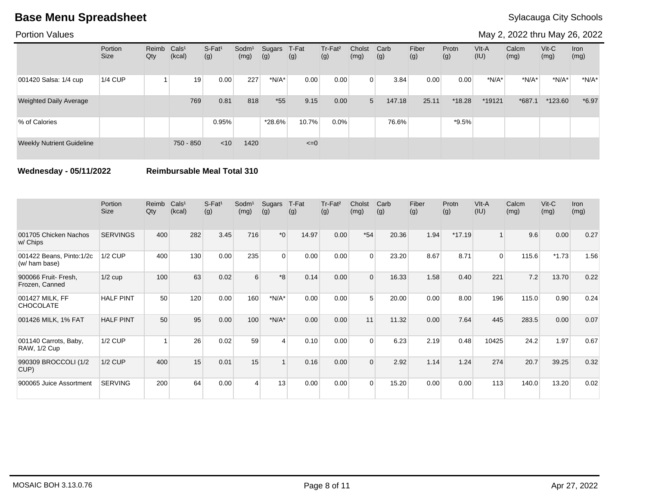Portion Values

May 2, 2022 thru May 26, 2022

|                                  | Portion<br><b>Size</b> | Reimb Cals <sup>1</sup><br>Qty | (kcal)    | S-Fat <sup>1</sup><br>(g) | Sodm <sup>1</sup><br>(mg) | Sugars<br>(g) | T-Fat<br>(g) | Tr-Fat <sup>2</sup><br>(g) | Cholst<br>(mg) | Carb<br>(g) | Fiber<br>(g) | Protn<br>(g) | VIt-A<br>(IU) | Calcm<br>(mg) | $V$ it-C<br>(mg) | <b>Iron</b><br>(mg) |
|----------------------------------|------------------------|--------------------------------|-----------|---------------------------|---------------------------|---------------|--------------|----------------------------|----------------|-------------|--------------|--------------|---------------|---------------|------------------|---------------------|
| 001420 Salsa: 1/4 cup            | 1/4 CUP                |                                | 19        | 0.00                      | 227                       | $*N/A*$       | 0.00         | 0.00                       | $\Omega$       | 3.84        | 0.00         | 0.00         | $*N/A*$       | $*N/A*$       | $*N/A*$          | $*N/A*$             |
| <b>Weighted Daily Average</b>    |                        |                                | 769       | 0.81                      | 818                       | $*55$         | 9.15         | 0.00                       | 5              | 147.18      | 25.11        | $*18.28$     | *19121        | $*687.1$      | *123.60          | $*6.97$             |
| % of Calories                    |                        |                                |           | 0.95%                     |                           | *28.6%        | 10.7%        | 0.0%                       |                | 76.6%       |              | $*9.5\%$     |               |               |                  |                     |
| <b>Weekly Nutrient Guideline</b> |                        |                                | 750 - 850 | < 10                      | 1420                      |               | $\leq=0$     |                            |                |             |              |              |               |               |                  |                     |

**Wednesday - 05/11/2022 Reimbursable Meal Total 310**

|                                              | Portion<br><b>Size</b> | Reimb<br>Qty | Cals <sup>1</sup><br>(kcal) | S-Fat <sup>1</sup><br>(g) | Sodm <sup>1</sup><br>(mg) | Sugars<br>(g) | T-Fat<br>(g) | Tr-Fat <sup>2</sup><br>(g) | Cholst<br>(mg) | Carb<br>(g) | Fiber<br>(g) | Protn<br>(g) | VIt-A<br>(IU)  | Calcm<br>(mg) | $V$ it-C<br>(mg) | <b>Iron</b><br>(mg) |
|----------------------------------------------|------------------------|--------------|-----------------------------|---------------------------|---------------------------|---------------|--------------|----------------------------|----------------|-------------|--------------|--------------|----------------|---------------|------------------|---------------------|
| 001705 Chicken Nachos<br>w/ Chips            | <b>SERVINGS</b>        | 400          | 282                         | 3.45                      | 716                       | $*_{0}$       | 14.97        | 0.00                       | $*54$          | 20.36       | 1.94         | $*17.19$     | 1 <sup>1</sup> | 9.6           | 0.00             | 0.27                |
| 001422 Beans, Pinto:1/2c<br>(w/ ham base)    | <b>1/2 CUP</b>         | 400          | 130                         | 0.00                      | 235                       | $\Omega$      | 0.00         | 0.00                       | $\Omega$       | 23.20       | 8.67         | 8.71         | $\Omega$       | 115.6         | $*1.73$          | 1.56                |
| 900066 Fruit- Fresh,<br>Frozen, Canned       | $1/2$ cup              | 100          | 63                          | 0.02                      | 6                         | $*8$          | 0.14         | 0.00                       | $\Omega$       | 16.33       | 1.58         | 0.40         | 221            | 7.2           | 13.70            | 0.22                |
| 001427 MILK, FF<br><b>CHOCOLATE</b>          | <b>HALF PINT</b>       | 50           | 120                         | 0.00                      | 160                       | $*N/A*$       | 0.00         | 0.00                       | 5              | 20.00       | 0.00         | 8.00         | 196            | 115.0         | 0.90             | 0.24                |
| 001426 MILK, 1% FAT                          | <b>HALF PINT</b>       | 50           | 95                          | 0.00                      | 100                       | $*N/A*$       | 0.00         | 0.00                       | 11             | 11.32       | 0.00         | 7.64         | 445            | 283.5         | 0.00             | 0.07                |
| 001140 Carrots, Baby,<br><b>RAW, 1/2 Cup</b> | <b>1/2 CUP</b>         |              | 26                          | 0.02                      | 59                        | 4             | 0.10         | 0.00                       | $\Omega$       | 6.23        | 2.19         | 0.48         | 10425          | 24.2          | 1.97             | 0.67                |
| 990309 BROCCOLI (1/2<br>CUP)                 | <b>1/2 CUP</b>         | 400          | 15                          | 0.01                      | 15                        |               | 0.16         | 0.00                       | $\Omega$       | 2.92        | 1.14         | 1.24         | 274            | 20.7          | 39.25            | 0.32                |
| 900065 Juice Assortment                      | <b>SERVING</b>         | 200          | 64                          | 0.00                      | Δ                         | 13            | 0.00         | 0.00                       | $\Omega$       | 15.20       | 0.00         | 0.00         | 113            | 140.0         | 13.20            | 0.02                |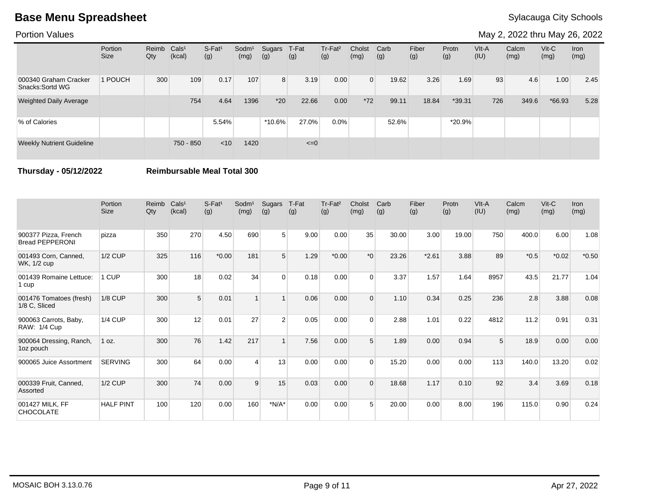Portion Values

May 2, 2022 thru May 26, 2022

|                                           | Portion<br><b>Size</b> | Reimb<br>Qty | Cals <sup>1</sup><br>(kcal) | S-Fat <sup>1</sup><br>(g) | Sodm <sup>1</sup><br>(mg) | Sugars<br>(g)  | T-Fat<br>(g) | Tr-Fat <sup>2</sup><br>(g) | Cholst<br>(mg) | Carb<br>(g) | Fiber<br>(g) | Protn<br>(g) | VIt-A<br>(IU) | Calcm<br>(mg) | $V$ it-C<br>(mg) | Iron<br>(mg) |
|-------------------------------------------|------------------------|--------------|-----------------------------|---------------------------|---------------------------|----------------|--------------|----------------------------|----------------|-------------|--------------|--------------|---------------|---------------|------------------|--------------|
| 000340 Graham Cracker<br>Snacks: Sortd WG | 1 POUCH                | 300          | 109                         | 0.17                      | 107                       | 8 <sup>1</sup> | 3.19         | 0.00                       | $\Omega$       | 19.62       | 3.26         | 1.69         | 93            | 4.6           | 1.00             | 2.45         |
| <b>Weighted Daily Average</b>             |                        |              | 754                         | 4.64                      | 1396                      | $*20$          | 22.66        | 0.00                       | $*72$          | 99.11       | 18.84        | $*39.31$     | 726           | 349.6         | $*66.93$         | 5.28         |
| % of Calories                             |                        |              |                             | 5.54%                     |                           | $*10.6\%$      | 27.0%        | 0.0%                       |                | 52.6%       |              | $*20.9%$     |               |               |                  |              |
| <b>Weekly Nutrient Guideline</b>          |                        |              | 750 - 850                   | $<$ 10                    | 1420                      |                | $\leq=0$     |                            |                |             |              |              |               |               |                  |              |

**Thursday - 05/12/2022 Reimbursable Meal Total 300**

|                                                | Portion<br><b>Size</b> | Reimb<br>Qty | Cals <sup>1</sup><br>(kcal) | S-Fat <sup>1</sup><br>(g) | Sodm <sup>1</sup><br>(mg) | Sugars<br>(g)  | T-Fat<br>(g) | Tr-Fat <sup>2</sup><br>(g) | Cholst<br>(mg)   | Carb<br>(g) | Fiber<br>(g) | Protn<br>(g) | VIt-A<br>(IU) | Calcm<br>(mg) | $V$ it-C<br>(mg) | <b>Iron</b><br>(mg) |
|------------------------------------------------|------------------------|--------------|-----------------------------|---------------------------|---------------------------|----------------|--------------|----------------------------|------------------|-------------|--------------|--------------|---------------|---------------|------------------|---------------------|
| 900377 Pizza, French<br><b>Bread PEPPERONI</b> | pizza                  | 350          | 270                         | 4.50                      | 690                       | 5 <sup>1</sup> | 9.00         | 0.00                       | 35               | 30.00       | 3.00         | 19.00        | 750           | 400.0         | 6.00             | 1.08                |
| 001493 Corn, Canned,<br>WK, 1/2 cup            | <b>1/2 CUP</b>         | 325          | 116                         | $*0.00$                   | 181                       | 5              | 1.29         | $*0.00$                    | $*$ <sup>0</sup> | 23.26       | $*2.61$      | 3.88         | 89            | $*0.5$        | $*0.02$          | $*0.50$             |
| 001439 Romaine Lettuce:<br>1 cup               | 1 CUP                  | 300          | 18                          | 0.02                      | 34                        | $\Omega$       | 0.18         | 0.00                       | $\Omega$         | 3.37        | 1.57         | 1.64         | 8957          | 43.5          | 21.77            | 1.04                |
| 001476 Tomatoes (fresh)<br>1/8 C, Sliced       | <b>1/8 CUP</b>         | 300          | 5                           | 0.01                      |                           |                | 0.06         | 0.00                       | $\Omega$         | 1.10        | 0.34         | 0.25         | 236           | 2.8           | 3.88             | 0.08                |
| 900063 Carrots, Baby,<br>RAW: 1/4 Cup          | <b>1/4 CUP</b>         | 300          | 12                          | 0.01                      | 27                        | $\mathcal{P}$  | 0.05         | 0.00                       | $\Omega$         | 2.88        | 1.01         | 0.22         | 4812          | 11.2          | 0.91             | 0.31                |
| 900064 Dressing, Ranch,<br>1oz pouch           | 1 oz.                  | 300          | 76                          | 1.42                      | 217                       | $\overline{1}$ | 7.56         | 0.00                       | 5                | 1.89        | 0.00         | 0.94         | 5             | 18.9          | 0.00             | 0.00                |
| 900065 Juice Assortment                        | <b>SERVING</b>         | 300          | 64                          | 0.00                      | $\Delta$                  | 13             | 0.00         | 0.00                       | $\Omega$         | 15.20       | 0.00         | 0.00         | 113           | 140.0         | 13.20            | 0.02                |
| 000339 Fruit, Canned,<br>Assorted              | <b>1/2 CUP</b>         | 300          | 74                          | 0.00                      | 9                         | 15             | 0.03         | 0.00                       | $\Omega$         | 18.68       | 1.17         | 0.10         | 92            | 3.4           | 3.69             | 0.18                |
| 001427 MILK, FF<br><b>CHOCOLATE</b>            | <b>HALF PINT</b>       | 100          | 120                         | 0.00                      | 160                       | $*N/A*$        | 0.00         | 0.00                       | 5                | 20.00       | 0.00         | 8.00         | 196           | 115.0         | 0.90             | 0.24                |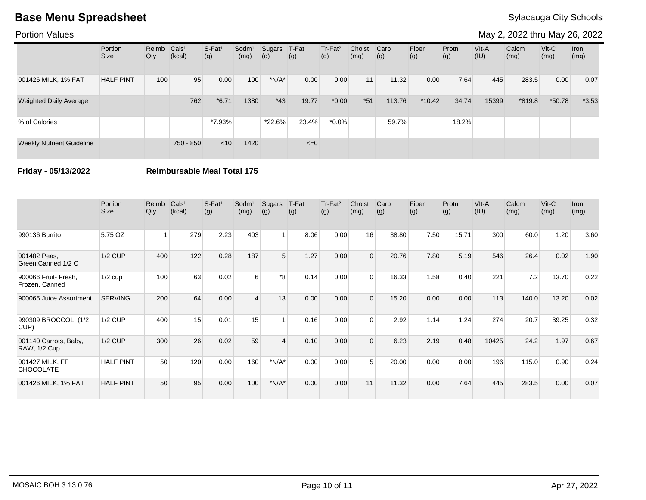Portion Values

May 2, 2022 thru May 26, 2022

|                                  | Portion<br><b>Size</b> | Reimb<br>Qty | Cals <sup>1</sup><br>(kcal) | $S-Fat1$<br>(g) | Sodm <sup>1</sup><br>(mg) | Sugars<br>(g) | T-Fat<br>(g) | Tr-Fat <sup>2</sup><br>(g) | Cholst<br>(mg) | Carb<br>(g) | Fiber<br>(g) | Protn<br>(g) | VIt-A<br>(IU) | Calcm<br>(mg) | $V$ it-C<br>(mg) | Iron<br>(mg) |
|----------------------------------|------------------------|--------------|-----------------------------|-----------------|---------------------------|---------------|--------------|----------------------------|----------------|-------------|--------------|--------------|---------------|---------------|------------------|--------------|
| 001426 MILK, 1% FAT              | <b>HALF PINT</b>       | 100          | 95                          | 0.00            | 100                       | $*N/A*$       | 0.00         | 0.00                       | 11             | 11.32       | 0.00         | 7.64         | 445           | 283.5         | 0.00             | 0.07         |
| <b>Weighted Daily Average</b>    |                        |              | 762                         | $*6.71$         | 1380                      | $*43$         | 19.77        | $*0.00$                    | $*51$          | 113.76      | $*10.42$     | 34.74        | 15399         | $*819.8$      | $*50.78$         | $*3.53$      |
| % of Calories                    |                        |              |                             | *7.93%          |                           | *22.6%        | 23.4%        | $*0.0\%$                   |                | 59.7%       |              | 18.2%        |               |               |                  |              |
| <b>Weekly Nutrient Guideline</b> |                        |              | 750 - 850                   | $<$ 10          | 1420                      |               | $\leq=0$     |                            |                |             |              |              |               |               |                  |              |

**Friday - 05/13/2022 Reimbursable Meal Total 175**

|                                              | Portion<br><b>Size</b> | Reimb<br>Qty | Cals <sup>1</sup><br>(kcal) | $S-Fat1$<br>(g) | Sodm <sup>1</sup><br>(mg) | Sugars<br>(g) | T-Fat<br>(g) | Tr-Fat <sup>2</sup><br>(g) | Cholst<br>(mg) | Carb<br>(g) | Fiber<br>(g) | Protn<br>(g) | VIt-A<br>(IU) | Calcm<br>(mg) | $V$ it- $C$<br>(mg) | <b>Iron</b><br>(mg) |
|----------------------------------------------|------------------------|--------------|-----------------------------|-----------------|---------------------------|---------------|--------------|----------------------------|----------------|-------------|--------------|--------------|---------------|---------------|---------------------|---------------------|
| 990136 Burrito                               | 5.75 OZ                |              | 279                         | 2.23            | 403                       |               | 8.06         | 0.00                       | 16             | 38.80       | 7.50         | 15.71        | 300           | 60.0          | 1.20                | 3.60                |
| 001482 Peas,<br>Green:Canned 1/2 C           | <b>1/2 CUP</b>         | 400          | 122                         | 0.28            | 187                       | 5             | 1.27         | 0.00                       | $\Omega$       | 20.76       | 7.80         | 5.19         | 546           | 26.4          | 0.02                | 1.90                |
| 900066 Fruit- Fresh,<br>Frozen, Canned       | $1/2$ cup              | 100          | 63                          | 0.02            | 6                         | $*8$          | 0.14         | 0.00                       | $\Omega$       | 16.33       | 1.58         | 0.40         | 221           | 7.2           | 13.70               | 0.22                |
| 900065 Juice Assortment                      | <b>SERVING</b>         | 200          | 64                          | 0.00            |                           | 13            | 0.00         | 0.00                       | $\Omega$       | 15.20       | 0.00         | 0.00         | 113           | 140.0         | 13.20               | 0.02                |
| 990309 BROCCOLI (1/2<br>CUP)                 | <b>1/2 CUP</b>         | 400          | 15                          | 0.01            | 15                        |               | 0.16         | 0.00                       | $\Omega$       | 2.92        | 1.14         | 1.24         | 274           | 20.7          | 39.25               | 0.32                |
| 001140 Carrots, Baby,<br><b>RAW, 1/2 Cup</b> | <b>1/2 CUP</b>         | 300          | 26                          | 0.02            | 59                        |               | 0.10         | 0.00                       | $\Omega$       | 6.23        | 2.19         | 0.48         | 10425         | 24.2          | 1.97                | 0.67                |
| 001427 MILK, FF<br><b>CHOCOLATE</b>          | <b>HALF PINT</b>       | 50           | 120                         | 0.00            | 160                       | $*N/A*$       | 0.00         | 0.00                       | 5              | 20.00       | 0.00         | 8.00         | 196           | 115.0         | 0.90                | 0.24                |
| 001426 MILK, 1% FAT                          | <b>HALF PINT</b>       | 50           | 95                          | 0.00            | 100                       | $*N/A*$       | 0.00         | 0.00                       | 11             | 11.32       | 0.00         | 7.64         | 445           | 283.5         | 0.00                | 0.07                |